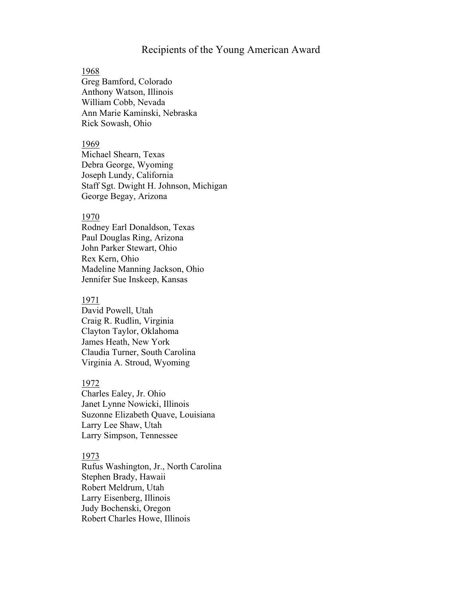# Recipients of the Young American Award

# 1968

Greg Bamford, Colorado Anthony Watson, Illinois William Cobb, Nevada Ann Marie Kaminski, Nebraska Rick Sowash, Ohio

## 1969

Michael Shearn, Texas Debra George, Wyoming Joseph Lundy, California Staff Sgt. Dwight H. Johnson, Michigan George Begay, Arizona

# 1970

Rodney Earl Donaldson, Texas Paul Douglas Ring, Arizona John Parker Stewart, Ohio Rex Kern, Ohio Madeline Manning Jackson, Ohio Jennifer Sue Inskeep, Kansas

# 1971

David Powell, Utah Craig R. Rudlin, Virginia Clayton Taylor, Oklahoma James Heath, New York Claudia Turner, South Carolina Virginia A. Stroud, Wyoming

# 1972

Charles Ealey, Jr. Ohio Janet Lynne Nowicki, Illinois Suzonne Elizabeth Quave, Louisiana Larry Lee Shaw, Utah Larry Simpson, Tennessee

# 1973

Rufus Washington, Jr., North Carolina Stephen Brady, Hawaii Robert Meldrum, Utah Larry Eisenberg, Illinois Judy Bochenski, Oregon Robert Charles Howe, Illinois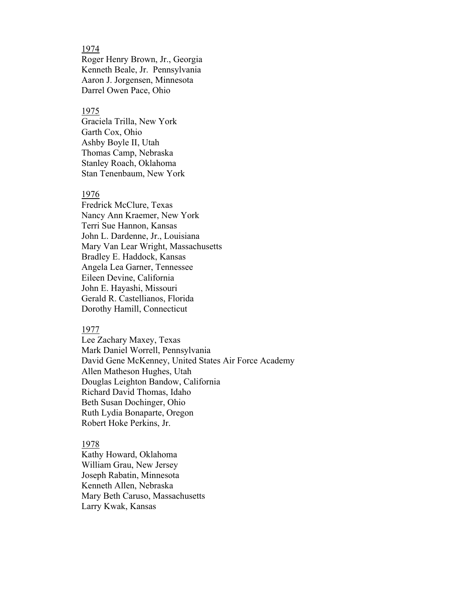# 1974

Roger Henry Brown, Jr., Georgia Kenneth Beale, Jr. Pennsylvania Aaron J. Jorgensen, Minnesota Darrel Owen Pace, Ohio

## 1975

Graciela Trilla, New York Garth Cox, Ohio Ashby Boyle II, Utah Thomas Camp, Nebraska Stanley Roach, Oklahoma Stan Tenenbaum, New York

#### 1976

Fredrick McClure, Texas Nancy Ann Kraemer, New York Terri Sue Hannon, Kansas John L. Dardenne, Jr., Louisiana Mary Van Lear Wright, Massachusetts Bradley E. Haddock, Kansas Angela Lea Garner, Tennessee Eileen Devine, California John E. Hayashi, Missouri Gerald R. Castellianos, Florida Dorothy Hamill, Connecticut

#### 1977

Lee Zachary Maxey, Texas Mark Daniel Worrell, Pennsylvania David Gene McKenney, United States Air Force Academy Allen Matheson Hughes, Utah Douglas Leighton Bandow, California Richard David Thomas, Idaho Beth Susan Dochinger, Ohio Ruth Lydia Bonaparte, Oregon Robert Hoke Perkins, Jr.

# 1978

Kathy Howard, Oklahoma William Grau, New Jersey Joseph Rabatin, Minnesota Kenneth Allen, Nebraska Mary Beth Caruso, Massachusetts Larry Kwak, Kansas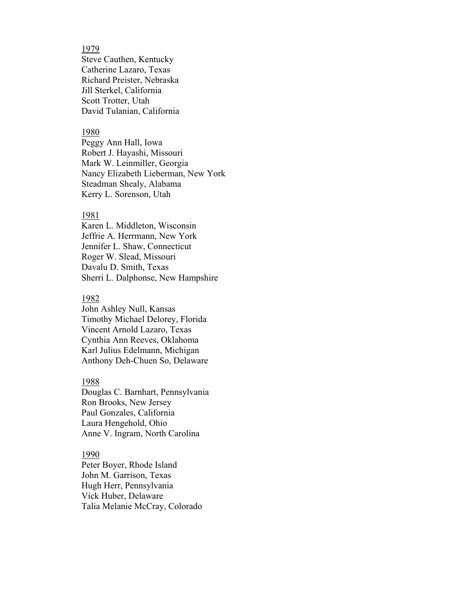# 1979

Steve Cauthen, Kentucky Catherine Lazaro, Texas Richard Preister, Nebraska Jill Sterkel, California Scott Trotter, Utah David Tulanian, California

# 1980

Peggy Ann Hall, Iowa Robert J. Hayashi, Missouri Mark W. Leinmiller, Georgia Nancy Elizabeth Lieberman, New York Steadman Shealy, Alabama Kerry L. Sorenson, Utah

# 1981

Karen L. Middleton, Wisconsin Jeffrie A. Herrmann, New York Jennifer L. Shaw, Connecticut Roger W. Slead, Missouri Davalu D. Smith, Texas Sherri L. Dalphonse, New Hampshire

# 1982

John Ashley Null, Kansas Timothy Michael Delorey, Florida Vincent Arnold Lazaro, Texas Cynthia Ann Reeves, Oklahoma Karl Julius Edelmann, Michigan Anthony Deh-Chuen So, Delaware

# 1988

Douglas C. Barnhart, Pennsylvania Ron Brooks, New Jersey Paul Gonzales, California Laura Hengehold, Ohio Anne V. Ingram, North Carolina

#### 1990

Peter Boyer, Rhode Island John M. Garrison, Texas Hugh Herr, Pennsylvania Vick Huber, Delaware Talia Melanie McCray, Colorado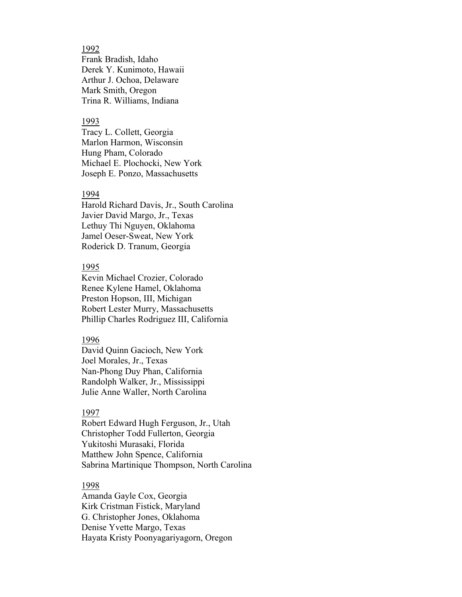1992 Frank Bradish, Idaho Derek Y. Kunimoto, Hawaii Arthur J. Ochoa, Delaware Mark Smith, Oregon Trina R. Williams, Indiana

# 1993

Tracy L. Collett, Georgia Marlon Harmon, Wisconsin Hung Pham, Colorado Michael E. Plochocki, New York Joseph E. Ponzo, Massachusetts

#### 1994

Harold Richard Davis, Jr., South Carolina Javier David Margo, Jr., Texas Lethuy Thi Nguyen, Oklahoma Jamel Oeser-Sweat, New York Roderick D. Tranum, Georgia

#### 1995

Kevin Michael Crozier, Colorado Renee Kylene Hamel, Oklahoma Preston Hopson, III, Michigan Robert Lester Murry, Massachusetts Phillip Charles Rodriguez III, California

## 1996

David Quinn Gacioch, New York Joel Morales, Jr., Texas Nan-Phong Duy Phan, California Randolph Walker, Jr., Mississippi Julie Anne Waller, North Carolina

#### 1997

Robert Edward Hugh Ferguson, Jr., Utah Christopher Todd Fullerton, Georgia Yukitoshi Murasaki, Florida Matthew John Spence, California Sabrina Martinique Thompson, North Carolina

# 1998

Amanda Gayle Cox, Georgia Kirk Cristman Fistick, Maryland G. Christopher Jones, Oklahoma Denise Yvette Margo, Texas Hayata Kristy Poonyagariyagorn, Oregon